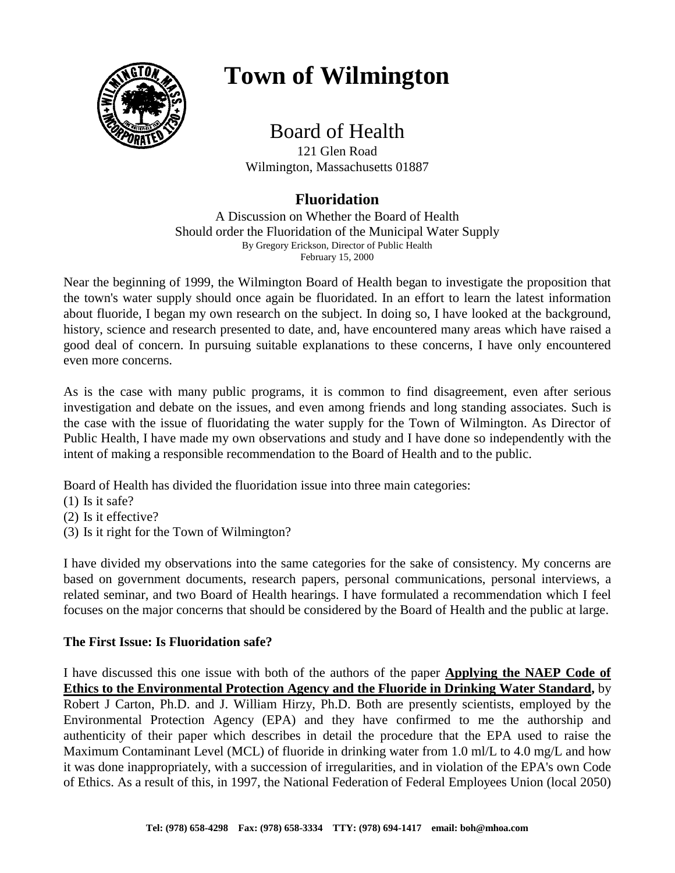

# **Town of Wilmington**

# Board of Health

121 Glen Road Wilmington, Massachusetts 01887

# **Fluoridation**

A Discussion on Whether the Board of Health Should order the Fluoridation of the Municipal Water Supply By Gregory Erickson, Director of Public Health February 15, 2000

Near the beginning of 1999, the Wilmington Board of Health began to investigate the proposition that the town's water supply should once again be fluoridated. In an effort to learn the latest information about fluoride, I began my own research on the subject. In doing so, I have looked at the background, history, science and research presented to date, and, have encountered many areas which have raised a good deal of concern. In pursuing suitable explanations to these concerns, I have only encountered even more concerns.

As is the case with many public programs, it is common to find disagreement, even after serious investigation and debate on the issues, and even among friends and long standing associates. Such is the case with the issue of fluoridating the water supply for the Town of Wilmington. As Director of Public Health, I have made my own observations and study and I have done so independently with the intent of making a responsible recommendation to the Board of Health and to the public.

Board of Health has divided the fluoridation issue into three main categories:

- (1) Is it safe?
- (2) Is it effective?
- (3) Is it right for the Town of Wilmington?

I have divided my observations into the same categories for the sake of consistency. My concerns are based on government documents, research papers, personal communications, personal interviews, a related seminar, and two Board of Health hearings. I have formulated a recommendation which I feel focuses on the major concerns that should be considered by the Board of Health and the public at large.

## **The First Issue: Is Fluoridation safe?**

I have discussed this one issue with both of the authors of the paper **Applying the NAEP Code of Ethics to the Environmental Protection Agency and the Fluoride in Drinking Water Standard,** by Robert J Carton, Ph.D. and J. William Hirzy, Ph.D. Both are presently scientists, employed by the Environmental Protection Agency (EPA) and they have confirmed to me the authorship and authenticity of their paper which describes in detail the procedure that the EPA used to raise the Maximum Contaminant Level (MCL) of fluoride in drinking water from 1.0 ml/L to 4.0 mg/L and how it was done inappropriately, with a succession of irregularities, and in violation of the EPA's own Code of Ethics. As a result of this, in 1997, the National Federation of Federal Employees Union (local 2050)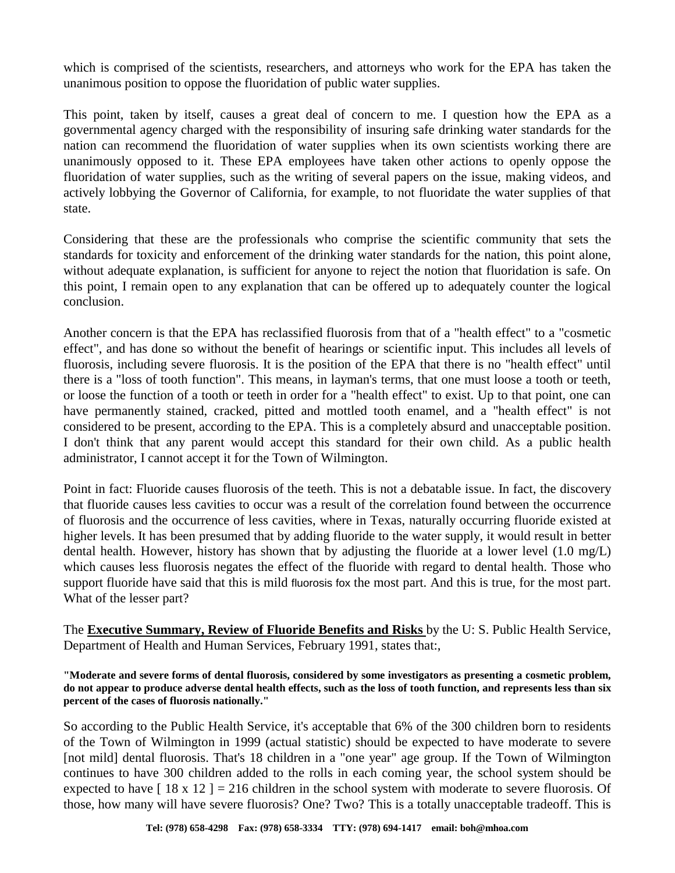which is comprised of the scientists, researchers, and attorneys who work for the EPA has taken the unanimous position to oppose the fluoridation of public water supplies.

This point, taken by itself, causes a great deal of concern to me. I question how the EPA as a governmental agency charged with the responsibility of insuring safe drinking water standards for the nation can recommend the fluoridation of water supplies when its own scientists working there are unanimously opposed to it. These EPA employees have taken other actions to openly oppose the fluoridation of water supplies, such as the writing of several papers on the issue, making videos, and actively lobbying the Governor of California, for example, to not fluoridate the water supplies of that state.

Considering that these are the professionals who comprise the scientific community that sets the standards for toxicity and enforcement of the drinking water standards for the nation, this point alone, without adequate explanation, is sufficient for anyone to reject the notion that fluoridation is safe. On this point, I remain open to any explanation that can be offered up to adequately counter the logical conclusion.

Another concern is that the EPA has reclassified fluorosis from that of a "health effect" to a "cosmetic effect", and has done so without the benefit of hearings or scientific input. This includes all levels of fluorosis, including severe fluorosis. It is the position of the EPA that there is no "health effect" until there is a "loss of tooth function". This means, in layman's terms, that one must loose a tooth or teeth, or loose the function of a tooth or teeth in order for a "health effect" to exist. Up to that point, one can have permanently stained, cracked, pitted and mottled tooth enamel, and a "health effect" is not considered to be present, according to the EPA. This is a completely absurd and unacceptable position. I don't think that any parent would accept this standard for their own child. As a public health administrator, I cannot accept it for the Town of Wilmington.

Point in fact: Fluoride causes fluorosis of the teeth. This is not a debatable issue. In fact, the discovery that fluoride causes less cavities to occur was a result of the correlation found between the occurrence of fluorosis and the occurrence of less cavities, where in Texas, naturally occurring fluoride existed at higher levels. It has been presumed that by adding fluoride to the water supply, it would result in better dental health. However, history has shown that by adjusting the fluoride at a lower level (1.0 mg/L) which causes less fluorosis negates the effect of the fluoride with regard to dental health. Those who support fluoride have said that this is mild fluorosis fox the most part. And this is true, for the most part. What of the lesser part?

The **Executive Summary, Review of Fluoride Benefits and Risks** by the U: S. Public Health Service, Department of Health and Human Services, February 1991, states that:,

**"Moderate and severe forms of dental fluorosis, considered by some investigators as presenting a cosmetic problem, do not appear to produce adverse dental health effects, such as the loss of tooth function, and represents less than six percent of the cases of fluorosis nationally."**

So according to the Public Health Service, it's acceptable that 6% of the 300 children born to residents of the Town of Wilmington in 1999 (actual statistic) should be expected to have moderate to severe [not mild] dental fluorosis. That's 18 children in a "one year" age group. If the Town of Wilmington continues to have 300 children added to the rolls in each coming year, the school system should be expected to have  $\lceil 18 \times 12 \rceil = 216$  children in the school system with moderate to severe fluorosis. Of those, how many will have severe fluorosis? One? Two? This is a totally unacceptable tradeoff. This is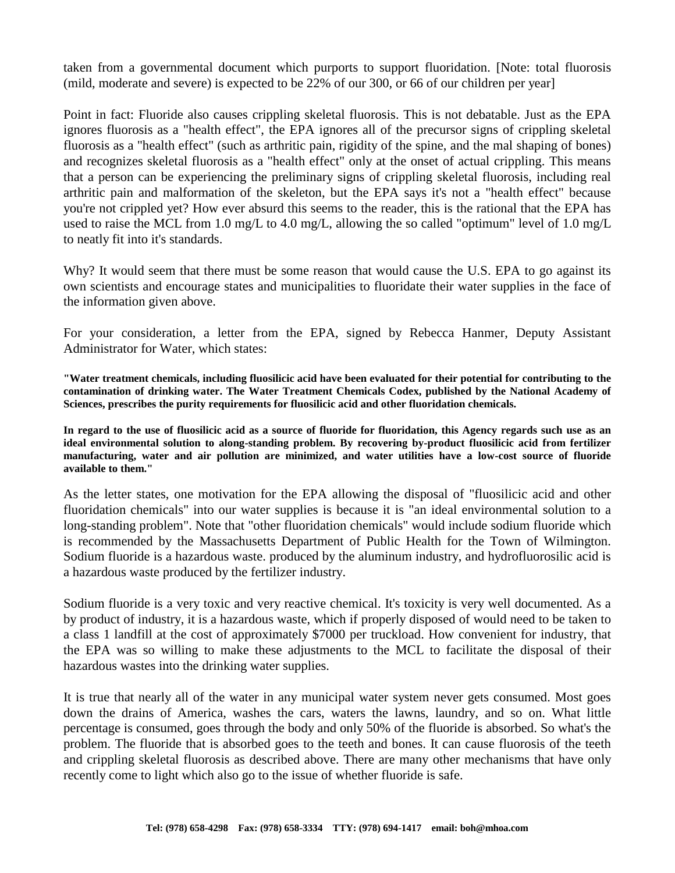taken from a governmental document which purports to support fluoridation. [Note: total fluorosis (mild, moderate and severe) is expected to be 22% of our 300, or 66 of our children per year]

Point in fact: Fluoride also causes crippling skeletal fluorosis. This is not debatable. Just as the EPA ignores fluorosis as a "health effect", the EPA ignores all of the precursor signs of crippling skeletal fluorosis as a "health effect" (such as arthritic pain, rigidity of the spine, and the mal shaping of bones) and recognizes skeletal fluorosis as a "health effect" only at the onset of actual crippling. This means that a person can be experiencing the preliminary signs of crippling skeletal fluorosis, including real arthritic pain and malformation of the skeleton, but the EPA says it's not a "health effect" because you're not crippled yet? How ever absurd this seems to the reader, this is the rational that the EPA has used to raise the MCL from 1.0 mg/L to 4.0 mg/L, allowing the so called "optimum" level of 1.0 mg/L to neatly fit into it's standards.

Why? It would seem that there must be some reason that would cause the U.S. EPA to go against its own scientists and encourage states and municipalities to fluoridate their water supplies in the face of the information given above.

For your consideration, a letter from the EPA, signed by Rebecca Hanmer, Deputy Assistant Administrator for Water, which states:

**"Water treatment chemicals, including fluosilicic acid have been evaluated for their potential for contributing to the contamination of drinking water. The Water Treatment Chemicals Codex, published by the National Academy of Sciences, prescribes the purity requirements for fluosilicic acid and other fluoridation chemicals.**

**In regard to the use of fluosilicic acid as a source of fluoride for fluoridation, this Agency regards such use as an ideal environmental solution to along-standing problem. By recovering by-product fluosilicic acid from fertilizer manufacturing, water and air pollution are minimized, and water utilities have a low-cost source of fluoride available to them."**

As the letter states, one motivation for the EPA allowing the disposal of "fluosilicic acid and other fluoridation chemicals" into our water supplies is because it is "an ideal environmental solution to a long-standing problem". Note that "other fluoridation chemicals" would include sodium fluoride which is recommended by the Massachusetts Department of Public Health for the Town of Wilmington. Sodium fluoride is a hazardous waste. produced by the aluminum industry, and hydrofluorosilic acid is a hazardous waste produced by the fertilizer industry.

Sodium fluoride is a very toxic and very reactive chemical. It's toxicity is very well documented. As a by product of industry, it is a hazardous waste, which if properly disposed of would need to be taken to a class 1 landfill at the cost of approximately \$7000 per truckload. How convenient for industry, that the EPA was so willing to make these adjustments to the MCL to facilitate the disposal of their hazardous wastes into the drinking water supplies.

It is true that nearly all of the water in any municipal water system never gets consumed. Most goes down the drains of America, washes the cars, waters the lawns, laundry, and so on. What little percentage is consumed, goes through the body and only 50% of the fluoride is absorbed. So what's the problem. The fluoride that is absorbed goes to the teeth and bones. It can cause fluorosis of the teeth and crippling skeletal fluorosis as described above. There are many other mechanisms that have only recently come to light which also go to the issue of whether fluoride is safe.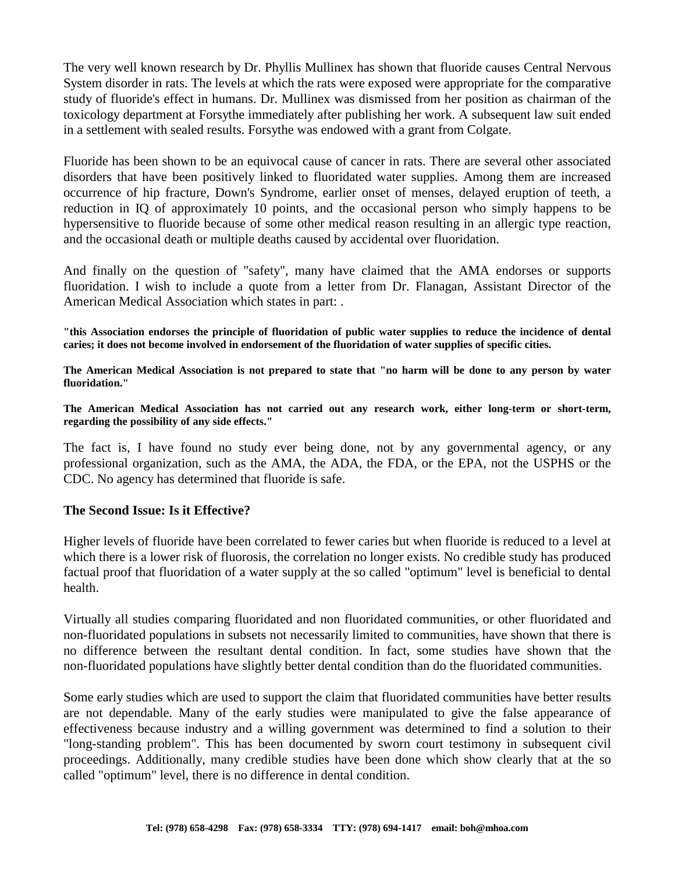The very well known research by Dr. Phyllis Mullinex has shown that fluoride causes Central Nervous System disorder in rats. The levels at which the rats were exposed were appropriate for the comparative study of fluoride's effect in humans. Dr. Mullinex was dismissed from her position as chairman of the toxicology department at Forsythe immediately after publishing her work. A subsequent law suit ended in a settlement with sealed results. Forsythe was endowed with a grant from Colgate.

Fluoride has been shown to be an equivocal cause of cancer in rats. There are several other associated disorders that have been positively linked to fluoridated water supplies. Among them are increased occurrence of hip fracture, Down's Syndrome, earlier onset of menses, delayed eruption of teeth, a reduction in IQ of approximately 10 points, and the occasional person who simply happens to be hypersensitive to fluoride because of some other medical reason resulting in an allergic type reaction, and the occasional death or multiple deaths caused by accidental over fluoridation.

And finally on the question of "safety", many have claimed that the AMA endorses or supports fluoridation. I wish to include a quote from a letter from Dr. Flanagan, Assistant Director of the American Medical Association which states in part: .

**"this Association endorses the principle of fluoridation of public water supplies to reduce the incidence of dental caries; it does not become involved in endorsement of the fluoridation of water supplies of specific cities.**

**The American Medical Association is not prepared to state that "no harm will be done to any person by water fluoridation."**

**The American Medical Association has not carried out any research work, either long-term or short-term, regarding the possibility of any side effects."**

The fact is, I have found no study ever being done, not by any governmental agency, or any professional organization, such as the AMA, the ADA, the FDA, or the EPA, not the USPHS or the CDC. No agency has determined that fluoride is safe.

### **The Second Issue: Is it Effective?**

Higher levels of fluoride have been correlated to fewer caries but when fluoride is reduced to a level at which there is a lower risk of fluorosis, the correlation no longer exists. No credible study has produced factual proof that fluoridation of a water supply at the so called "optimum" level is beneficial to dental health.

Virtually all studies comparing fluoridated and non fluoridated communities, or other fluoridated and non-fluoridated populations in subsets not necessarily limited to communities, have shown that there is no difference between the resultant dental condition. In fact, some studies have shown that the non-fluoridated populations have slightly better dental condition than do the fluoridated communities.

Some early studies which are used to support the claim that fluoridated communities have better results are not dependable. Many of the early studies were manipulated to give the false appearance of effectiveness because industry and a willing government was determined to find a solution to their "long-standing problem". This has been documented by sworn court testimony in subsequent civil proceedings. Additionally, many credible studies have been done which show clearly that at the so called "optimum" level, there is no difference in dental condition.